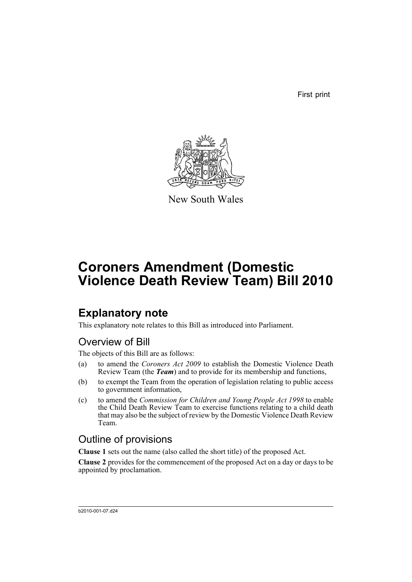First print



New South Wales

# **Coroners Amendment (Domestic Violence Death Review Team) Bill 2010**

# **Explanatory note**

This explanatory note relates to this Bill as introduced into Parliament.

# Overview of Bill

The objects of this Bill are as follows:

- (a) to amend the *Coroners Act 2009* to establish the Domestic Violence Death Review Team (the *Team*) and to provide for its membership and functions,
- (b) to exempt the Team from the operation of legislation relating to public access to government information,
- (c) to amend the *Commission for Children and Young People Act 1998* to enable the Child Death Review Team to exercise functions relating to a child death that may also be the subject of review by the Domestic Violence Death Review Team.

# Outline of provisions

**Clause 1** sets out the name (also called the short title) of the proposed Act.

**Clause 2** provides for the commencement of the proposed Act on a day or days to be appointed by proclamation.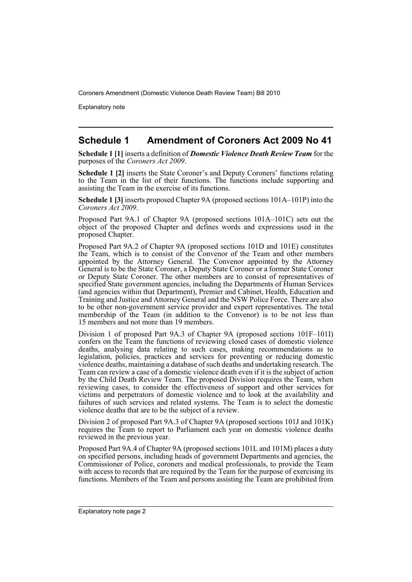Explanatory note

# **Schedule 1 Amendment of Coroners Act 2009 No 41**

**Schedule 1 [1]** inserts a definition of *Domestic Violence Death Review Team* for the purposes of the *Coroners Act 2009*.

**Schedule 1 [2]** inserts the State Coroner's and Deputy Coroners' functions relating to the Team in the list of their functions. The functions include supporting and assisting the Team in the exercise of its functions.

**Schedule 1 [3]** inserts proposed Chapter 9A (proposed sections 101A–101P) into the *Coroners Act 2009*.

Proposed Part 9A.1 of Chapter 9A (proposed sections 101A–101C) sets out the object of the proposed Chapter and defines words and expressions used in the proposed Chapter.

Proposed Part 9A.2 of Chapter 9A (proposed sections 101D and 101E) constitutes the Team, which is to consist of the Convenor of the Team and other members appointed by the Attorney General. The Convenor appointed by the Attorney General is to be the State Coroner, a Deputy State Coroner or a former State Coroner or Deputy State Coroner. The other members are to consist of representatives of specified State government agencies, including the Departments of Human Services (and agencies within that Department), Premier and Cabinet, Health, Education and Training and Justice and Attorney General and the NSW Police Force. There are also to be other non-government service provider and expert representatives. The total membership of the Team (in addition to the Convenor) is to be not less than 15 members and not more than 19 members.

Division 1 of proposed Part 9A.3 of Chapter 9A (proposed sections 101F–101I) confers on the Team the functions of reviewing closed cases of domestic violence deaths, analysing data relating to such cases, making recommendations as to legislation, policies, practices and services for preventing or reducing domestic violence deaths, maintaining a database of such deaths and undertaking research. The Team can review a case of a domestic violence death even if it is the subject of action by the Child Death Review Team. The proposed Division requires the Team, when reviewing cases, to consider the effectiveness of support and other services for victims and perpetrators of domestic violence and to look at the availability and failures of such services and related systems. The Team is to select the domestic violence deaths that are to be the subject of a review.

Division 2 of proposed Part 9A.3 of Chapter 9A (proposed sections 101J and 101K) requires the Team to report to Parliament each year on domestic violence deaths reviewed in the previous year.

Proposed Part 9A.4 of Chapter 9A (proposed sections 101L and 101M) places a duty on specified persons, including heads of government Departments and agencies, the Commissioner of Police, coroners and medical professionals, to provide the Team with access to records that are required by the Team for the purpose of exercising its functions. Members of the Team and persons assisting the Team are prohibited from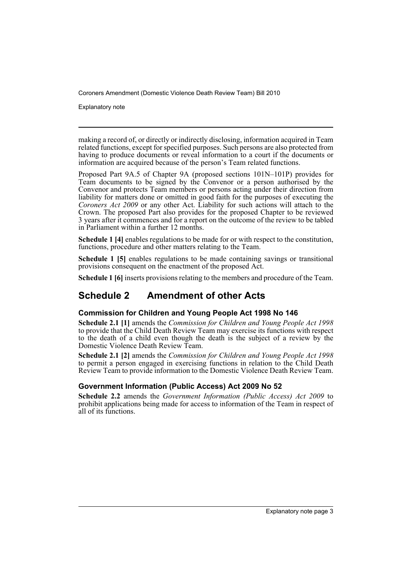Explanatory note

making a record of, or directly or indirectly disclosing, information acquired in Team related functions, except for specified purposes. Such persons are also protected from having to produce documents or reveal information to a court if the documents or information are acquired because of the person's Team related functions.

Proposed Part 9A.5 of Chapter 9A (proposed sections 101N–101P) provides for Team documents to be signed by the Convenor or a person authorised by the Convenor and protects Team members or persons acting under their direction from liability for matters done or omitted in good faith for the purposes of executing the *Coroners Act 2009* or any other Act. Liability for such actions will attach to the Crown. The proposed Part also provides for the proposed Chapter to be reviewed 3 years after it commences and for a report on the outcome of the review to be tabled in Parliament within a further 12 months.

**Schedule 1 [4]** enables regulations to be made for or with respect to the constitution, functions, procedure and other matters relating to the Team.

**Schedule 1 [5]** enables regulations to be made containing savings or transitional provisions consequent on the enactment of the proposed Act.

**Schedule 1 [6]** inserts provisions relating to the members and procedure of the Team.

# **Schedule 2 Amendment of other Acts**

### **Commission for Children and Young People Act 1998 No 146**

**Schedule 2.1 [1]** amends the *Commission for Children and Young People Act 1998* to provide that the Child Death Review Team may exercise its functions with respect to the death of a child even though the death is the subject of a review by the Domestic Violence Death Review Team.

**Schedule 2.1 [2]** amends the *Commission for Children and Young People Act 1998* to permit a person engaged in exercising functions in relation to the Child Death Review Team to provide information to the Domestic Violence Death Review Team.

## **Government Information (Public Access) Act 2009 No 52**

**Schedule 2.2** amends the *Government Information (Public Access) Act 2009* to prohibit applications being made for access to information of the Team in respect of all of its functions.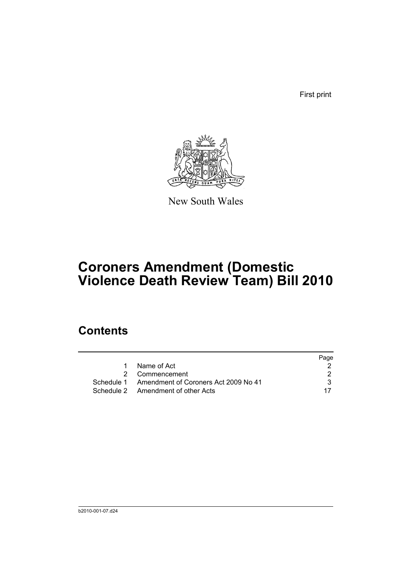First print



New South Wales

# **Coroners Amendment (Domestic Violence Death Review Team) Bill 2010**

# **Contents**

|   |                                                 | Page |
|---|-------------------------------------------------|------|
| 1 | Name of Act                                     |      |
|   | 2 Commencement                                  |      |
|   | Schedule 1 Amendment of Coroners Act 2009 No 41 | 3.   |
|   | Schedule 2 Amendment of other Acts              |      |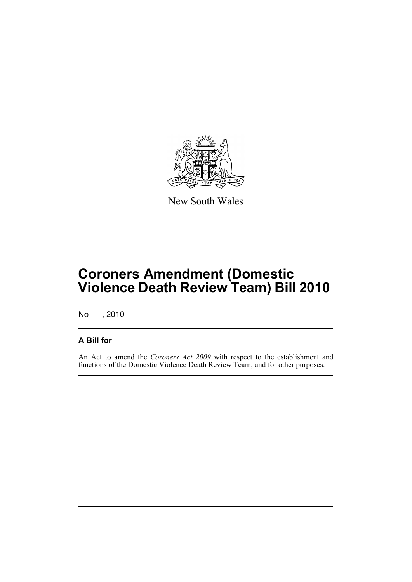

New South Wales

# **Coroners Amendment (Domestic Violence Death Review Team) Bill 2010**

No , 2010

## **A Bill for**

An Act to amend the *Coroners Act 2009* with respect to the establishment and functions of the Domestic Violence Death Review Team; and for other purposes.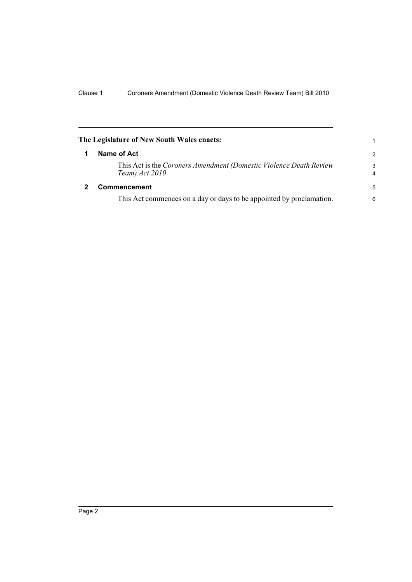<span id="page-7-1"></span><span id="page-7-0"></span>

| The Legislature of New South Wales enacts: |                                                                                       |                     |
|--------------------------------------------|---------------------------------------------------------------------------------------|---------------------|
| 1                                          | Name of Act                                                                           | $\overline{2}$      |
|                                            | This Act is the Coroners Amendment (Domestic Violence Death Review<br>Team) Act 2010. | 3<br>$\overline{4}$ |
| 2                                          | <b>Commencement</b>                                                                   | 5                   |
|                                            | This Act commences on a day or days to be appointed by proclamation.                  | 6                   |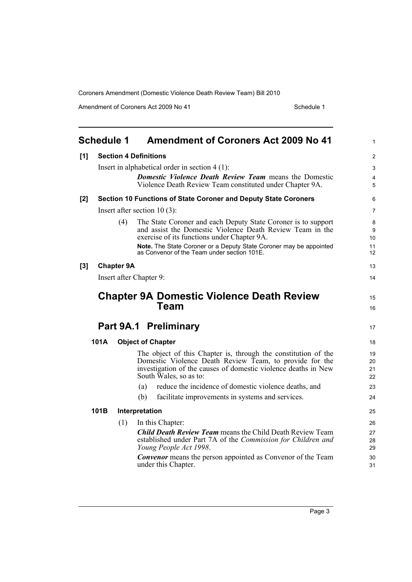Amendment of Coroners Act 2009 No 41 Schedule 1

<span id="page-8-0"></span>

|       | <b>Schedule 1</b> |     | <b>Amendment of Coroners Act 2009 No 41</b>                                                                                                                                                                           | $\mathbf{1}$         |
|-------|-------------------|-----|-----------------------------------------------------------------------------------------------------------------------------------------------------------------------------------------------------------------------|----------------------|
| [1]   |                   |     | <b>Section 4 Definitions</b>                                                                                                                                                                                          | $\overline{2}$       |
|       |                   |     | Insert in alphabetical order in section $4(1)$ :                                                                                                                                                                      | $\mathfrak{S}$       |
|       |                   |     | <b>Domestic Violence Death Review Team means the Domestic</b><br>Violence Death Review Team constituted under Chapter 9A.                                                                                             | 4<br>5               |
| $[2]$ |                   |     | Section 10 Functions of State Coroner and Deputy State Coroners                                                                                                                                                       | 6                    |
|       |                   |     | Insert after section $10(3)$ :                                                                                                                                                                                        | 7                    |
|       |                   | (4) | The State Coroner and each Deputy State Coroner is to support<br>and assist the Domestic Violence Death Review Team in the<br>exercise of its functions under Chapter 9A.                                             | $\bf 8$<br>9<br>10   |
|       |                   |     | Note. The State Coroner or a Deputy State Coroner may be appointed<br>as Convenor of the Team under section 101E.                                                                                                     | 11<br>12             |
| $[3]$ | <b>Chapter 9A</b> |     |                                                                                                                                                                                                                       | 13                   |
|       |                   |     | Insert after Chapter 9:                                                                                                                                                                                               | 14                   |
|       |                   |     | <b>Chapter 9A Domestic Violence Death Review</b>                                                                                                                                                                      | 15                   |
|       |                   |     | Team                                                                                                                                                                                                                  | 16                   |
|       |                   |     | Part 9A.1 Preliminary                                                                                                                                                                                                 | 17                   |
|       | 101A              |     | <b>Object of Chapter</b>                                                                                                                                                                                              | 18                   |
|       |                   |     | The object of this Chapter is, through the constitution of the<br>Domestic Violence Death Review Team, to provide for the<br>investigation of the causes of domestic violence deaths in New<br>South Wales, so as to: | 19<br>20<br>21<br>22 |
|       |                   |     | reduce the incidence of domestic violence deaths, and<br>(a)                                                                                                                                                          | 23                   |
|       |                   |     | (b)<br>facilitate improvements in systems and services.                                                                                                                                                               | 24                   |
|       | 101B              |     | Interpretation                                                                                                                                                                                                        | 25                   |
|       |                   | (1) | In this Chapter:                                                                                                                                                                                                      | 26                   |
|       |                   |     | <b>Child Death Review Team</b> means the Child Death Review Team<br>established under Part 7A of the Commission for Children and<br>Young People Act 1998.                                                            | 27<br>28<br>29       |
|       |                   |     | <b>Convenor</b> means the person appointed as Convenor of the Team<br>under this Chapter.                                                                                                                             | 30<br>31             |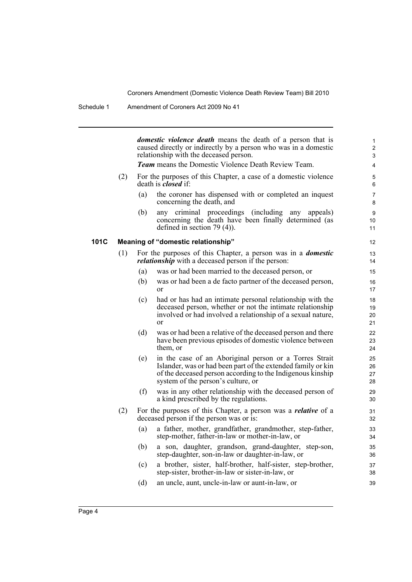*domestic violence death* means the death of a person that is caused directly or indirectly by a person who was in a domestic relationship with the deceased person. *Team* means the Domestic Violence Death Review Team. (2) For the purposes of this Chapter, a case of a domestic violence death is *closed* if: (a) the coroner has dispensed with or completed an inquest concerning the death, and (b) any criminal proceedings (including any appeals) concerning the death have been finally determined (as defined in section 79 (4)). **101C Meaning of "domestic relationship"** (1) For the purposes of this Chapter, a person was in a *domestic relationship* with a deceased person if the person: (a) was or had been married to the deceased person, or (b) was or had been a de facto partner of the deceased person, or (c) had or has had an intimate personal relationship with the deceased person, whether or not the intimate relationship involved or had involved a relationship of a sexual nature, or (d) was or had been a relative of the deceased person and there have been previous episodes of domestic violence between them, or (e) in the case of an Aboriginal person or a Torres Strait Islander, was or had been part of the extended family or kin of the deceased person according to the Indigenous kinship system of the person's culture, or (f) was in any other relationship with the deceased person of a kind prescribed by the regulations. (2) For the purposes of this Chapter, a person was a *relative* of a deceased person if the person was or is: (a) a father, mother, grandfather, grandmother, step-father, step-mother, father-in-law or mother-in-law, or (b) a son, daughter, grandson, grand-daughter, step-son, step-daughter, son-in-law or daughter-in-law, or (c) a brother, sister, half-brother, half-sister, step-brother, step-sister, brother-in-law or sister-in-law, or (d) an uncle, aunt, uncle-in-law or aunt-in-law, or 1  $\overline{2}$ 3 4 5 6 7 8 9 10 11 12 13 14 15 16 17 18 19 20 21 22 23 24 25 26 27 28 29 30 31 32 33 34 35 36 37 38 39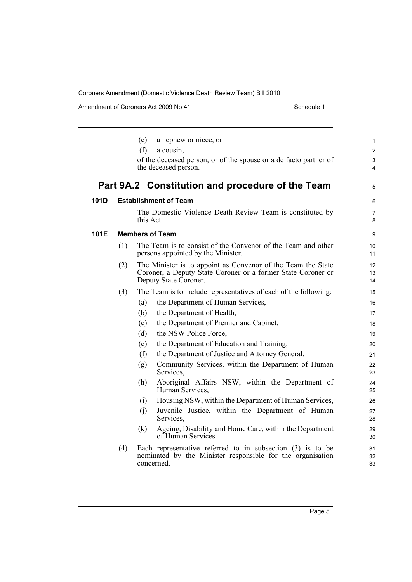|      |     | a nephew or niece, or<br>(e)                                                                                                                          | 1                       |
|------|-----|-------------------------------------------------------------------------------------------------------------------------------------------------------|-------------------------|
|      |     | (f)<br>a cousin,                                                                                                                                      | $\overline{\mathbf{c}}$ |
|      |     | of the deceased person, or of the spouse or a de facto partner of<br>the deceased person.                                                             | 3<br>$\overline{4}$     |
|      |     | Part 9A.2 Constitution and procedure of the Team                                                                                                      | 5                       |
| 101D |     | <b>Establishment of Team</b>                                                                                                                          | 6                       |
|      |     | The Domestic Violence Death Review Team is constituted by<br>this Act.                                                                                | $\overline{7}$<br>8     |
| 101E |     | <b>Members of Team</b>                                                                                                                                | 9                       |
|      | (1) | The Team is to consist of the Convenor of the Team and other<br>persons appointed by the Minister.                                                    | 10<br>11                |
|      | (2) | The Minister is to appoint as Convenor of the Team the State<br>Coroner, a Deputy State Coroner or a former State Coroner or<br>Deputy State Coroner. | 12<br>13<br>14          |
|      | (3) | The Team is to include representatives of each of the following:                                                                                      | 15                      |
|      |     | the Department of Human Services,<br>(a)                                                                                                              | 16                      |
|      |     | the Department of Health,<br>(b)                                                                                                                      | 17                      |
|      |     | the Department of Premier and Cabinet,<br>(c)                                                                                                         | 18                      |
|      |     | the NSW Police Force,<br>(d)                                                                                                                          | 19                      |
|      |     | the Department of Education and Training,<br>(e)                                                                                                      | 20                      |
|      |     | the Department of Justice and Attorney General,<br>(f)                                                                                                | 21                      |
|      |     | Community Services, within the Department of Human<br>(g)<br>Services,                                                                                | 22<br>23                |
|      |     | Aboriginal Affairs NSW, within the Department of<br>(h)<br>Human Services,                                                                            | 24<br>25                |
|      |     | Housing NSW, within the Department of Human Services,<br>(i)                                                                                          | 26                      |
|      |     | Juvenile Justice, within the Department of Human<br>(j)<br>Services,                                                                                  | 27<br>28                |
|      |     | Ageing, Disability and Home Care, within the Department<br>(k)<br>of Human Services.                                                                  | 29<br>30                |
|      | (4) | Each representative referred to in subsection $(3)$ is to be<br>nominated by the Minister responsible for the organisation<br>concerned.              | 31<br>32<br>33          |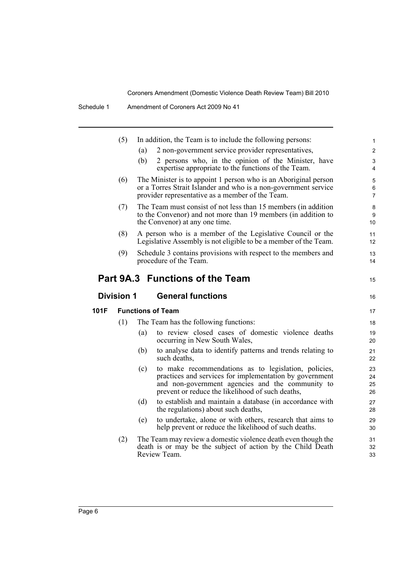|      | (5)               | In addition, the Team is to include the following persons:                                                                                                                                                                     | $\mathbf{1}$              |
|------|-------------------|--------------------------------------------------------------------------------------------------------------------------------------------------------------------------------------------------------------------------------|---------------------------|
|      |                   | 2 non-government service provider representatives,<br>(a)                                                                                                                                                                      | $\overline{2}$            |
|      |                   | (b)<br>2 persons who, in the opinion of the Minister, have<br>expertise appropriate to the functions of the Team.                                                                                                              | 3<br>$\overline{4}$       |
|      | (6)               | The Minister is to appoint 1 person who is an Aboriginal person<br>or a Torres Strait Islander and who is a non-government service<br>provider representative as a member of the Team.                                         | 5<br>6<br>$\overline{7}$  |
|      | (7)               | The Team must consist of not less than 15 members (in addition<br>to the Convenor) and not more than 19 members (in addition to<br>the Convenor) at any one time.                                                              | 8<br>9<br>10 <sup>°</sup> |
|      | (8)               | A person who is a member of the Legislative Council or the<br>Legislative Assembly is not eligible to be a member of the Team.                                                                                                 | 11<br>12                  |
|      | (9)               | Schedule 3 contains provisions with respect to the members and<br>procedure of the Team.                                                                                                                                       | 13<br>14                  |
|      |                   | Part 9A.3 Functions of the Team                                                                                                                                                                                                | 15                        |
|      | <b>Division 1</b> | <b>General functions</b>                                                                                                                                                                                                       | 16                        |
| 101F |                   |                                                                                                                                                                                                                                |                           |
|      |                   | <b>Functions of Team</b>                                                                                                                                                                                                       | 17                        |
|      | (1)               | The Team has the following functions:                                                                                                                                                                                          | 18                        |
|      |                   | to review closed cases of domestic violence deaths<br>(a)<br>occurring in New South Wales,                                                                                                                                     | 19<br>20                  |
|      |                   | (b)<br>to analyse data to identify patterns and trends relating to<br>such deaths,                                                                                                                                             | 21<br>22                  |
|      |                   | to make recommendations as to legislation, policies,<br>(c)<br>practices and services for implementation by government<br>and non-government agencies and the community to<br>prevent or reduce the likelihood of such deaths, | 23<br>24<br>25<br>26      |
|      |                   | to establish and maintain a database (in accordance with<br>(d)<br>the regulations) about such deaths,                                                                                                                         | 27<br>28                  |
|      |                   | to undertake, alone or with others, research that aims to<br>(e)<br>help prevent or reduce the likelihood of such deaths.                                                                                                      | 29<br>30                  |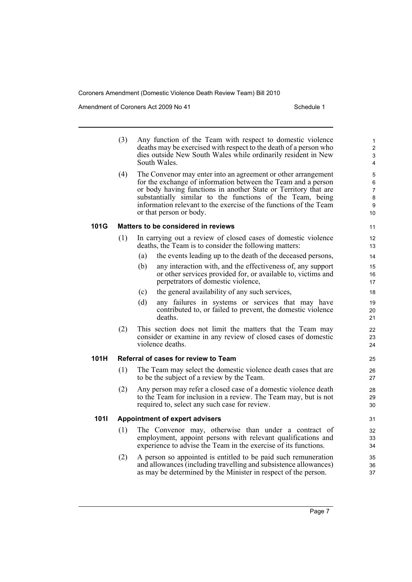Amendment of Coroners Act 2009 No 41 Schedule 1

|      | (3) | Any function of the Team with respect to domestic violence<br>deaths may be exercised with respect to the death of a person who<br>dies outside New South Wales while ordinarily resident in New<br>South Wales.                                                                                                                                               | 1<br>$\overline{2}$<br>3<br>4                  |
|------|-----|----------------------------------------------------------------------------------------------------------------------------------------------------------------------------------------------------------------------------------------------------------------------------------------------------------------------------------------------------------------|------------------------------------------------|
|      | (4) | The Convenor may enter into an agreement or other arrangement<br>for the exchange of information between the Team and a person<br>or body having functions in another State or Territory that are<br>substantially similar to the functions of the Team, being<br>information relevant to the exercise of the functions of the Team<br>or that person or body. | 5<br>6<br>$\overline{7}$<br>$\bf 8$<br>9<br>10 |
| 101G |     | Matters to be considered in reviews                                                                                                                                                                                                                                                                                                                            | 11                                             |
|      | (1) | In carrying out a review of closed cases of domestic violence<br>deaths, the Team is to consider the following matters:                                                                                                                                                                                                                                        | 12<br>13                                       |
|      |     | the events leading up to the death of the deceased persons,<br>(a)                                                                                                                                                                                                                                                                                             | 14                                             |
|      |     | (b)<br>any interaction with, and the effectiveness of, any support<br>or other services provided for, or available to, victims and<br>perpetrators of domestic violence,                                                                                                                                                                                       | 15<br>16<br>17                                 |
|      |     | the general availability of any such services,<br>(c)                                                                                                                                                                                                                                                                                                          | 18                                             |
|      |     | (d)<br>any failures in systems or services that may have<br>contributed to, or failed to prevent, the domestic violence<br>deaths.                                                                                                                                                                                                                             | 19<br>20<br>21                                 |
|      | (2) | This section does not limit the matters that the Team may<br>consider or examine in any review of closed cases of domestic<br>violence deaths.                                                                                                                                                                                                                 | 22<br>23<br>24                                 |
| 101H |     | Referral of cases for review to Team                                                                                                                                                                                                                                                                                                                           | 25                                             |
|      | (1) | The Team may select the domestic violence death cases that are<br>to be the subject of a review by the Team.                                                                                                                                                                                                                                                   | 26<br>27                                       |
|      | (2) | Any person may refer a closed case of a domestic violence death<br>to the Team for inclusion in a review. The Team may, but is not<br>required to, select any such case for review.                                                                                                                                                                            | 28<br>29<br>30                                 |
| 1011 |     | <b>Appointment of expert advisers</b>                                                                                                                                                                                                                                                                                                                          | 31                                             |
|      | (1) | The Convenor may, otherwise than under a contract of<br>employment, appoint persons with relevant qualifications and<br>experience to advise the Team in the exercise of its functions.                                                                                                                                                                        | 32<br>33<br>34                                 |
|      | (2) | A person so appointed is entitled to be paid such remuneration<br>and allowances (including travelling and subsistence allowances)<br>as may be determined by the Minister in respect of the person.                                                                                                                                                           | 35<br>36<br>37                                 |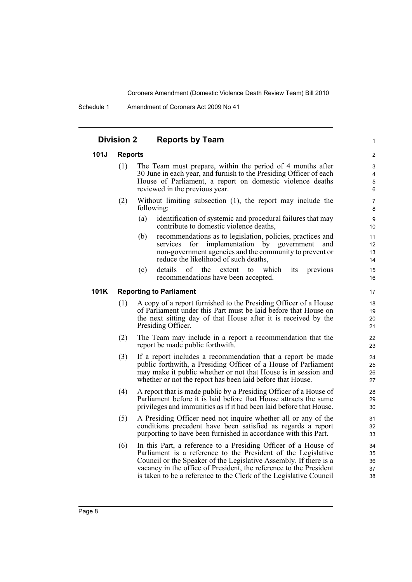Schedule 1 Amendment of Coroners Act 2009 No 41

## **Division 2 Reports by Team**

#### **101J Reports**

- (1) The Team must prepare, within the period of 4 months after 30 June in each year, and furnish to the Presiding Officer of each House of Parliament, a report on domestic violence deaths reviewed in the previous year.
- (2) Without limiting subsection (1), the report may include the following:
	- (a) identification of systemic and procedural failures that may contribute to domestic violence deaths,

1

- (b) recommendations as to legislation, policies, practices and services for implementation by government and non-government agencies and the community to prevent or reduce the likelihood of such deaths,
- (c) details of the extent to which its previous recommendations have been accepted.

#### **101K Reporting to Parliament**

- (1) A copy of a report furnished to the Presiding Officer of a House of Parliament under this Part must be laid before that House on the next sitting day of that House after it is received by the Presiding Officer.
- (2) The Team may include in a report a recommendation that the report be made public forthwith.
- (3) If a report includes a recommendation that a report be made public forthwith, a Presiding Officer of a House of Parliament may make it public whether or not that House is in session and whether or not the report has been laid before that House.
- (4) A report that is made public by a Presiding Officer of a House of Parliament before it is laid before that House attracts the same privileges and immunities as if it had been laid before that House.
- (5) A Presiding Officer need not inquire whether all or any of the conditions precedent have been satisfied as regards a report purporting to have been furnished in accordance with this Part.
- (6) In this Part, a reference to a Presiding Officer of a House of Parliament is a reference to the President of the Legislative Council or the Speaker of the Legislative Assembly. If there is a vacancy in the office of President, the reference to the President is taken to be a reference to the Clerk of the Legislative Council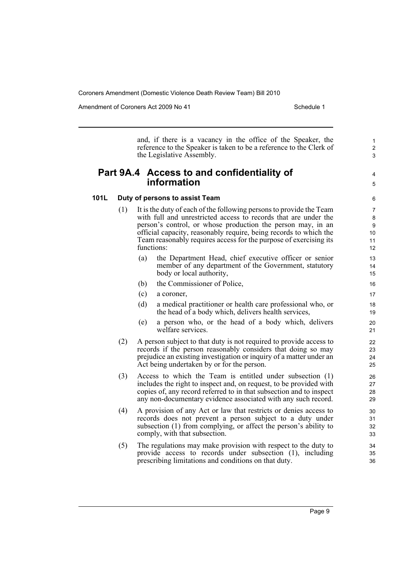Amendment of Coroners Act 2009 No 41 Schedule 1

and, if there is a vacancy in the office of the Speaker, the reference to the Speaker is taken to be a reference to the Clerk of the Legislative Assembly.

## **Part 9A.4 Access to and confidentiality of information**

5 6

4

1 2 3

## **101L Duty of persons to assist Team**

- (1) It is the duty of each of the following persons to provide the Team with full and unrestricted access to records that are under the person's control, or whose production the person may, in an official capacity, reasonably require, being records to which the Team reasonably requires access for the purpose of exercising its functions:
	- (a) the Department Head, chief executive officer or senior member of any department of the Government, statutory body or local authority,
	- (b) the Commissioner of Police,
	- (c) a coroner,
	- (d) a medical practitioner or health care professional who, or the head of a body which, delivers health services,
	- (e) a person who, or the head of a body which, delivers welfare services.
- (2) A person subject to that duty is not required to provide access to records if the person reasonably considers that doing so may prejudice an existing investigation or inquiry of a matter under an Act being undertaken by or for the person.
- (3) Access to which the Team is entitled under subsection (1) includes the right to inspect and, on request, to be provided with copies of, any record referred to in that subsection and to inspect any non-documentary evidence associated with any such record.
- (4) A provision of any Act or law that restricts or denies access to records does not prevent a person subject to a duty under subsection (1) from complying, or affect the person's ability to comply, with that subsection.
- (5) The regulations may make provision with respect to the duty to provide access to records under subsection (1), including prescribing limitations and conditions on that duty.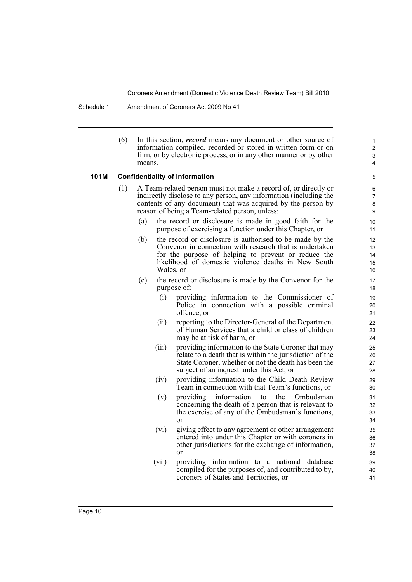Schedule 1 Amendment of Coroners Act 2009 No 41

(6) In this section, *record* means any document or other source of information compiled, recorded or stored in written form or on film, or by electronic process, or in any other manner or by other means.

#### **101M Confidentiality of information**

- (1) A Team-related person must not make a record of, or directly or indirectly disclose to any person, any information (including the contents of any document) that was acquired by the person by reason of being a Team-related person, unless:
	- (a) the record or disclosure is made in good faith for the purpose of exercising a function under this Chapter, or
	- (b) the record or disclosure is authorised to be made by the Convenor in connection with research that is undertaken for the purpose of helping to prevent or reduce the likelihood of domestic violence deaths in New South Wales, or
	- (c) the record or disclosure is made by the Convenor for the purpose of:
		- (i) providing information to the Commissioner of Police in connection with a possible criminal offence, or
		- (ii) reporting to the Director-General of the Department of Human Services that a child or class of children may be at risk of harm, or
		- (iii) providing information to the State Coroner that may relate to a death that is within the jurisdiction of the State Coroner, whether or not the death has been the subject of an inquest under this Act, or
		- (iv) providing information to the Child Death Review Team in connection with that Team's functions, or
		- (v) providing information to the Ombudsman concerning the death of a person that is relevant to the exercise of any of the Ombudsman's functions, or
		- (vi) giving effect to any agreement or other arrangement entered into under this Chapter or with coroners in other jurisdictions for the exchange of information, or
		- (vii) providing information to a national database compiled for the purposes of, and contributed to by, coroners of States and Territories, or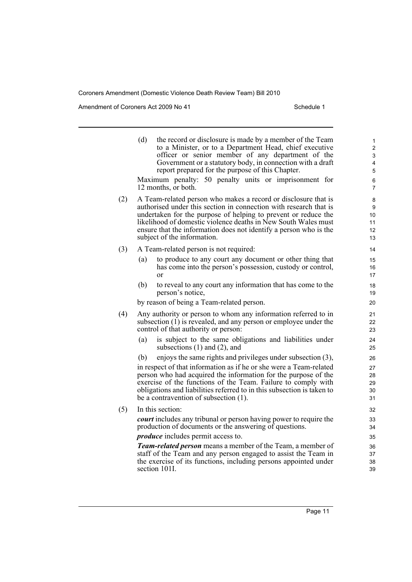Amendment of Coroners Act 2009 No 41 Schedule 1

 $(5)$ 

|     | (d) | the record or disclosure is made by a member of the Team<br>to a Minister, or to a Department Head, chief executive<br>officer or senior member of any department of the<br>Government or a statutory body, in connection with a draft<br>report prepared for the purpose of this Chapter.<br>Maximum penalty: 50 penalty units or imprisonment for<br>12 months, or both.  | 1<br>$\overline{c}$<br>3<br>$\overline{4}$<br>5<br>6<br>$\overline{7}$ |
|-----|-----|-----------------------------------------------------------------------------------------------------------------------------------------------------------------------------------------------------------------------------------------------------------------------------------------------------------------------------------------------------------------------------|------------------------------------------------------------------------|
| (2) |     | A Team-related person who makes a record or disclosure that is<br>authorised under this section in connection with research that is<br>undertaken for the purpose of helping to prevent or reduce the<br>likelihood of domestic violence deaths in New South Wales must<br>ensure that the information does not identify a person who is the<br>subject of the information. | 8<br>9<br>10<br>11<br>12<br>13                                         |
| (3) |     | A Team-related person is not required:                                                                                                                                                                                                                                                                                                                                      | 14                                                                     |
|     | (a) | to produce to any court any document or other thing that<br>has come into the person's possession, custody or control,<br>or                                                                                                                                                                                                                                                | 15<br>16<br>17                                                         |
|     | (b) | to reveal to any court any information that has come to the<br>person's notice,                                                                                                                                                                                                                                                                                             | 18<br>19                                                               |
|     |     | by reason of being a Team-related person.                                                                                                                                                                                                                                                                                                                                   | 20                                                                     |
| (4) |     | Any authority or person to whom any information referred to in<br>subsection $(1)$ is revealed, and any person or employee under the<br>control of that authority or person:                                                                                                                                                                                                | 21<br>22<br>23                                                         |
|     | (a) | is subject to the same obligations and liabilities under<br>subsections $(1)$ and $(2)$ , and                                                                                                                                                                                                                                                                               | 24<br>25                                                               |
|     | (b) | enjoys the same rights and privileges under subsection (3),                                                                                                                                                                                                                                                                                                                 | 26                                                                     |
|     |     | in respect of that information as if he or she were a Team-related<br>person who had acquired the information for the purpose of the<br>exercise of the functions of the Team. Failure to comply with<br>obligations and liabilities referred to in this subsection is taken to<br>be a contravention of subsection (1).                                                    | 27<br>28<br>29<br>30<br>31                                             |
| (5) |     | In this section:                                                                                                                                                                                                                                                                                                                                                            | 32                                                                     |
|     |     | court includes any tribunal or person having power to require the<br>production of documents or the answering of questions.                                                                                                                                                                                                                                                 | 33<br>34                                                               |
|     |     | <i>produce</i> includes permit access to.                                                                                                                                                                                                                                                                                                                                   | 35                                                                     |
|     |     | <b>Team-related person</b> means a member of the Team, a member of<br>staff of the Team and any person engaged to assist the Team in<br>the exercise of its functions, including persons appointed under<br>section 101I.                                                                                                                                                   | 36<br>37<br>38<br>39                                                   |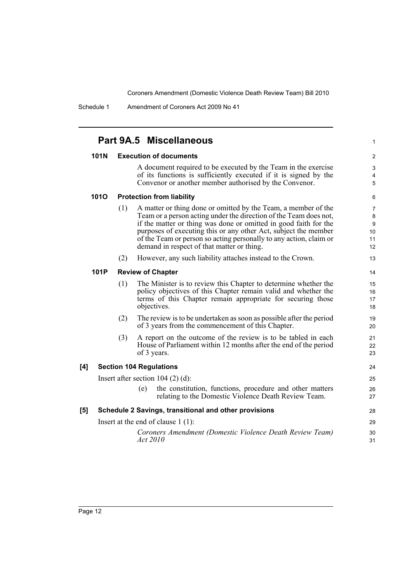Schedule 1 Amendment of Coroners Act 2009 No 41

|             |     | Part 9A.5 Miscellaneous                                                                                                                                                                                                                                                                                                                                                                        | 1                             |
|-------------|-----|------------------------------------------------------------------------------------------------------------------------------------------------------------------------------------------------------------------------------------------------------------------------------------------------------------------------------------------------------------------------------------------------|-------------------------------|
| <b>101N</b> |     | <b>Execution of documents</b>                                                                                                                                                                                                                                                                                                                                                                  | $\overline{\mathbf{c}}$       |
|             |     | A document required to be executed by the Team in the exercise<br>of its functions is sufficiently executed if it is signed by the<br>Convenor or another member authorised by the Convenor.                                                                                                                                                                                                   | 3<br>4<br>5                   |
| <b>1010</b> |     | <b>Protection from liability</b>                                                                                                                                                                                                                                                                                                                                                               | 6                             |
|             | (1) | A matter or thing done or omitted by the Team, a member of the<br>Team or a person acting under the direction of the Team does not,<br>if the matter or thing was done or omitted in good faith for the<br>purposes of executing this or any other Act, subject the member<br>of the Team or person so acting personally to any action, claim or<br>demand in respect of that matter or thing. | 7<br>8<br>9<br>10<br>11<br>12 |
|             | (2) | However, any such liability attaches instead to the Crown.                                                                                                                                                                                                                                                                                                                                     | 13                            |
| 101P        |     | <b>Review of Chapter</b>                                                                                                                                                                                                                                                                                                                                                                       | 14                            |
|             | (1) | The Minister is to review this Chapter to determine whether the<br>policy objectives of this Chapter remain valid and whether the<br>terms of this Chapter remain appropriate for securing those<br>objectives.                                                                                                                                                                                | 15<br>16<br>17<br>18          |
|             | (2) | The review is to be undertaken as soon as possible after the period<br>of 3 years from the commencement of this Chapter.                                                                                                                                                                                                                                                                       | 19<br>20                      |
|             | (3) | A report on the outcome of the review is to be tabled in each<br>House of Parliament within 12 months after the end of the period<br>of 3 years.                                                                                                                                                                                                                                               | 21<br>22<br>23                |
| [4]         |     | <b>Section 104 Regulations</b>                                                                                                                                                                                                                                                                                                                                                                 | 24                            |
|             |     | Insert after section $104$ (2) (d):                                                                                                                                                                                                                                                                                                                                                            | 25                            |
|             |     | the constitution, functions, procedure and other matters<br>(e)<br>relating to the Domestic Violence Death Review Team.                                                                                                                                                                                                                                                                        | 26<br>27                      |
| [5]         |     | Schedule 2 Savings, transitional and other provisions                                                                                                                                                                                                                                                                                                                                          | 28                            |
|             |     | Insert at the end of clause $1(1)$ :                                                                                                                                                                                                                                                                                                                                                           | 29                            |
|             |     | Coroners Amendment (Domestic Violence Death Review Team)<br>Act 2010                                                                                                                                                                                                                                                                                                                           | 30<br>31                      |
|             |     |                                                                                                                                                                                                                                                                                                                                                                                                |                               |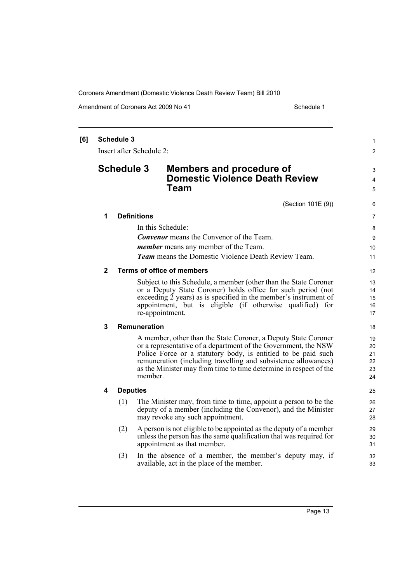Amendment of Coroners Act 2009 No 41 Schedule 1

| [6] |                | <b>Schedule 3</b><br>Insert after Schedule 2: |                                                                                                                                                                                                                                                                                                                                          | 1<br>$\overline{2}$              |
|-----|----------------|-----------------------------------------------|------------------------------------------------------------------------------------------------------------------------------------------------------------------------------------------------------------------------------------------------------------------------------------------------------------------------------------------|----------------------------------|
|     |                | <b>Schedule 3</b>                             | <b>Members and procedure of</b><br><b>Domestic Violence Death Review</b><br>Team                                                                                                                                                                                                                                                         | 3<br>$\overline{4}$<br>5         |
|     |                |                                               | (Section 101E (9))                                                                                                                                                                                                                                                                                                                       | 6                                |
|     | 1              | <b>Definitions</b>                            |                                                                                                                                                                                                                                                                                                                                          | 7                                |
|     |                |                                               | In this Schedule:<br><b>Convenor</b> means the Convenor of the Team.<br><i>member</i> means any member of the Team.<br><b>Team</b> means the Domestic Violence Death Review Team.                                                                                                                                                        | 8<br>9<br>10<br>11               |
|     | $\mathbf{2}$   |                                               | <b>Terms of office of members</b>                                                                                                                                                                                                                                                                                                        | 12                               |
|     |                |                                               | Subject to this Schedule, a member (other than the State Coroner<br>or a Deputy State Coroner) holds office for such period (not<br>exceeding 2 years) as is specified in the member's instrument of<br>appointment, but is eligible (if otherwise qualified) for<br>re-appointment.                                                     | 13<br>14<br>15<br>16<br>17       |
|     | $\overline{3}$ | <b>Remuneration</b>                           |                                                                                                                                                                                                                                                                                                                                          | 18                               |
|     |                | member.                                       | A member, other than the State Coroner, a Deputy State Coroner<br>or a representative of a department of the Government, the NSW<br>Police Force or a statutory body, is entitled to be paid such<br>remuneration (including travelling and subsistence allowances)<br>as the Minister may from time to time determine in respect of the | 19<br>20<br>21<br>22<br>23<br>24 |
|     | 4              | <b>Deputies</b>                               |                                                                                                                                                                                                                                                                                                                                          | 25                               |
|     |                | (1)                                           | The Minister may, from time to time, appoint a person to be the<br>deputy of a member (including the Convenor), and the Minister<br>may revoke any such appointment.                                                                                                                                                                     | 26<br>27<br>28                   |
|     |                | (2)                                           | A person is not eligible to be appointed as the deputy of a member<br>unless the person has the same qualification that was required for<br>appointment as that member.                                                                                                                                                                  | 29<br>30<br>31                   |
|     |                | (3)                                           | In the absence of a member, the member's deputy may, if<br>available, act in the place of the member.                                                                                                                                                                                                                                    | 32<br>33                         |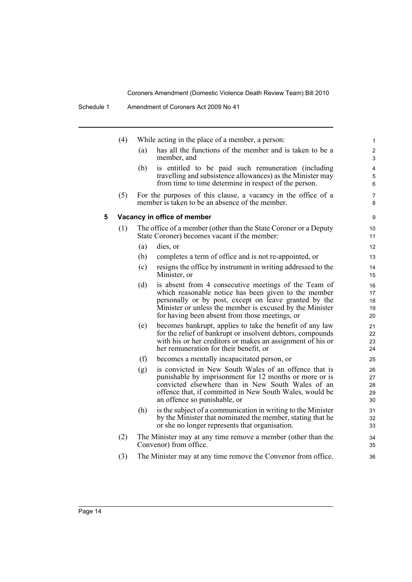|   | (4) |     | While acting in the place of a member, a person:                                                                                                                                                                                                                                    | 1                                       |
|---|-----|-----|-------------------------------------------------------------------------------------------------------------------------------------------------------------------------------------------------------------------------------------------------------------------------------------|-----------------------------------------|
|   |     | (a) | has all the functions of the member and is taken to be a<br>member, and                                                                                                                                                                                                             | $\overline{\mathbf{c}}$<br>3            |
|   |     | (b) | is entitled to be paid such remuneration (including<br>travelling and subsistence allowances) as the Minister may<br>from time to time determine in respect of the person.                                                                                                          | $\overline{\mathbf{4}}$<br>5<br>$\,6\,$ |
|   | (5) |     | For the purposes of this clause, a vacancy in the office of a<br>member is taken to be an absence of the member.                                                                                                                                                                    | $\overline{7}$<br>8                     |
| 5 |     |     | Vacancy in office of member                                                                                                                                                                                                                                                         | 9                                       |
|   | (1) |     | The office of a member (other than the State Coroner or a Deputy<br>State Coroner) becomes vacant if the member:                                                                                                                                                                    | 10<br>11                                |
|   |     | (a) | dies, or                                                                                                                                                                                                                                                                            | $12 \overline{ }$                       |
|   |     | (b) | completes a term of office and is not re-appointed, or                                                                                                                                                                                                                              | 13                                      |
|   |     | (c) | resigns the office by instrument in writing addressed to the<br>Minister, or                                                                                                                                                                                                        | 14<br>15                                |
|   |     | (d) | is absent from 4 consecutive meetings of the Team of<br>which reasonable notice has been given to the member<br>personally or by post, except on leave granted by the<br>Minister or unless the member is excused by the Minister<br>for having been absent from those meetings, or | 16<br>17<br>18<br>19<br>20              |
|   |     | (e) | becomes bankrupt, applies to take the benefit of any law<br>for the relief of bankrupt or insolvent debtors, compounds<br>with his or her creditors or makes an assignment of his or<br>her remuneration for their benefit, or                                                      | 21<br>22<br>23<br>24                    |
|   |     | (f) | becomes a mentally incapacitated person, or                                                                                                                                                                                                                                         | 25                                      |
|   |     | (g) | is convicted in New South Wales of an offence that is<br>punishable by imprisonment for 12 months or more or is<br>convicted elsewhere than in New South Wales of an<br>offence that, if committed in New South Wales, would be<br>an offence so punishable, or                     | 26<br>27<br>28<br>29<br>30              |
|   |     | (h) | is the subject of a communication in writing to the Minister<br>by the Minister that nominated the member, stating that he<br>or she no longer represents that organisation.                                                                                                        | 31<br>32<br>33                          |
|   | (2) |     | The Minister may at any time remove a member (other than the<br>Convenor) from office.                                                                                                                                                                                              | 34<br>35                                |
|   | (3) |     | The Minister may at any time remove the Convenor from office.                                                                                                                                                                                                                       | 36                                      |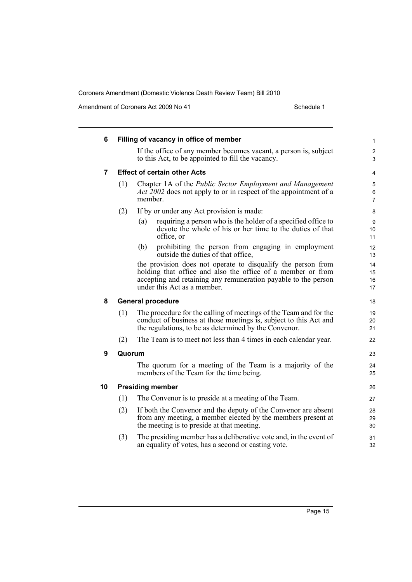Amendment of Coroners Act 2009 No 41 Schedule 1

| 6  |        | Filling of vacancy in office of member                                                                                                                                                          | 1                        |
|----|--------|-------------------------------------------------------------------------------------------------------------------------------------------------------------------------------------------------|--------------------------|
|    |        | If the office of any member becomes vacant, a person is, subject<br>to this Act, to be appointed to fill the vacancy.                                                                           | $\overline{c}$<br>3      |
| 7  |        | <b>Effect of certain other Acts</b>                                                                                                                                                             | 4                        |
|    | (1)    | Chapter 1A of the Public Sector Employment and Management<br><i>Act 2002</i> does not apply to or in respect of the appointment of a<br>member.                                                 | 5<br>6<br>$\overline{7}$ |
|    | (2)    | If by or under any Act provision is made:                                                                                                                                                       | 8                        |
|    |        | requiring a person who is the holder of a specified office to<br>(a)<br>devote the whole of his or her time to the duties of that<br>office, or                                                 | 9<br>10<br>11            |
|    |        | prohibiting the person from engaging in employment<br>(b)<br>outside the duties of that office,                                                                                                 | 12<br>13                 |
|    |        | the provision does not operate to disqualify the person from                                                                                                                                    | 14                       |
|    |        | holding that office and also the office of a member or from<br>accepting and retaining any remuneration payable to the person                                                                   | 15<br>16                 |
|    |        | under this Act as a member.                                                                                                                                                                     | 17                       |
| 8  |        | <b>General procedure</b>                                                                                                                                                                        | 18                       |
|    | (1)    | The procedure for the calling of meetings of the Team and for the<br>conduct of business at those meetings is, subject to this Act and<br>the regulations, to be as determined by the Convenor. | 19<br>20<br>21           |
|    | (2)    | The Team is to meet not less than 4 times in each calendar year.                                                                                                                                | 22                       |
| 9  | Quorum |                                                                                                                                                                                                 | 23                       |
|    |        | The quorum for a meeting of the Team is a majority of the<br>members of the Team for the time being.                                                                                            | 24<br>25                 |
| 10 |        | <b>Presiding member</b>                                                                                                                                                                         | 26                       |
|    | (1)    | The Convenor is to preside at a meeting of the Team.                                                                                                                                            | 27                       |
|    | (2)    | If both the Convenor and the deputy of the Convenor are absent<br>from any meeting, a member elected by the members present at<br>the meeting is to preside at that meeting.                    | 28<br>29<br>30           |
|    | (3)    | The presiding member has a deliberative vote and, in the event of<br>an equality of votes, has a second or casting vote.                                                                        | 31<br>32                 |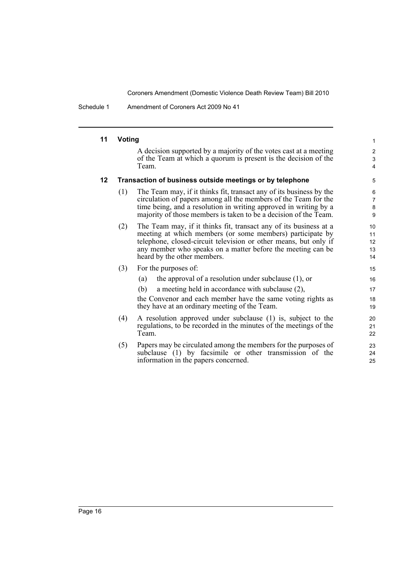Schedule 1 Amendment of Coroners Act 2009 No 41

#### **11 Voting**

A decision supported by a majority of the votes cast at a meeting of the Team at which a quorum is present is the decision of the Team.

#### **12 Transaction of business outside meetings or by telephone**

- (1) The Team may, if it thinks fit, transact any of its business by the circulation of papers among all the members of the Team for the time being, and a resolution in writing approved in writing by a majority of those members is taken to be a decision of the Team.
- (2) The Team may, if it thinks fit, transact any of its business at a meeting at which members (or some members) participate by telephone, closed-circuit television or other means, but only if any member who speaks on a matter before the meeting can be heard by the other members.
- (3) For the purposes of:
	- (a) the approval of a resolution under subclause (1), or
	- (b) a meeting held in accordance with subclause (2),

the Convenor and each member have the same voting rights as they have at an ordinary meeting of the Team.

- (4) A resolution approved under subclause (1) is, subject to the regulations, to be recorded in the minutes of the meetings of the Team.
- (5) Papers may be circulated among the members for the purposes of subclause (1) by facsimile or other transmission of the information in the papers concerned.